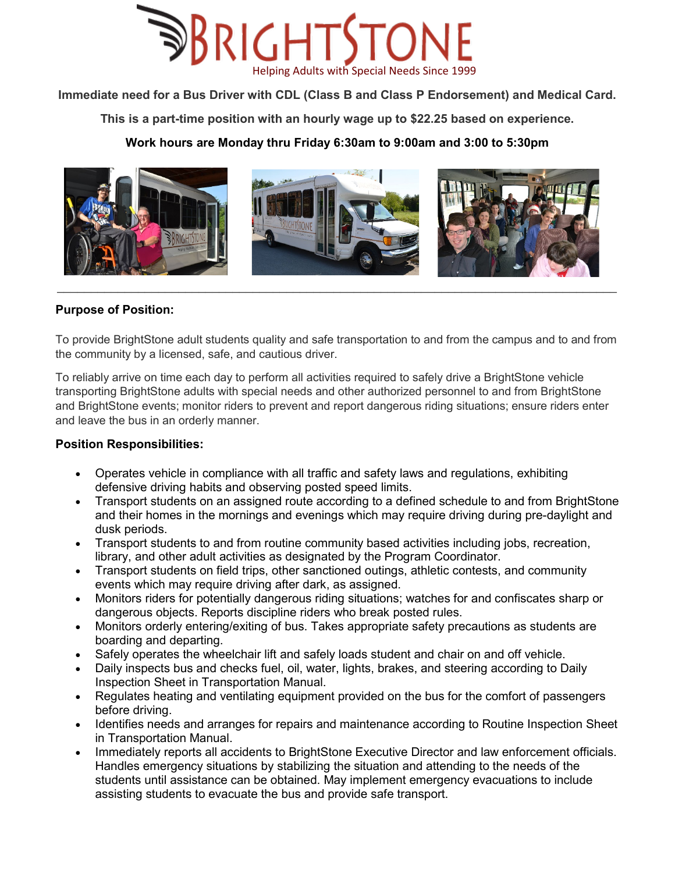

**Immediate need for a Bus Driver with CDL (Class B and Class P Endorsement) and Medical Card.**

**This is a part-time position with an hourly wage up to \$22.25 based on experience.** 

# **Work hours are Monday thru Friday 6:30am to 9:00am and 3:00 to 5:30pm**



# **Purpose of Position:**

To provide BrightStone adult students quality and safe transportation to and from the campus and to and from the community by a licensed, safe, and cautious driver.

To reliably arrive on time each day to perform all activities required to safely drive a BrightStone vehicle transporting BrightStone adults with special needs and other authorized personnel to and from BrightStone and BrightStone events; monitor riders to prevent and report dangerous riding situations; ensure riders enter and leave the bus in an orderly manner.

### **Position Responsibilities:**

- Operates vehicle in compliance with all traffic and safety laws and regulations, exhibiting defensive driving habits and observing posted speed limits.
- Transport students on an assigned route according to a defined schedule to and from BrightStone and their homes in the mornings and evenings which may require driving during pre-daylight and dusk periods.
- Transport students to and from routine community based activities including jobs, recreation, library, and other adult activities as designated by the Program Coordinator.
- Transport students on field trips, other sanctioned outings, athletic contests, and community events which may require driving after dark, as assigned.
- Monitors riders for potentially dangerous riding situations; watches for and confiscates sharp or dangerous objects. Reports discipline riders who break posted rules.
- Monitors orderly entering/exiting of bus. Takes appropriate safety precautions as students are boarding and departing.
- Safely operates the wheelchair lift and safely loads student and chair on and off vehicle.
- Daily inspects bus and checks fuel, oil, water, lights, brakes, and steering according to Daily Inspection Sheet in Transportation Manual.
- Regulates heating and ventilating equipment provided on the bus for the comfort of passengers before driving.
- Identifies needs and arranges for repairs and maintenance according to Routine Inspection Sheet in Transportation Manual.
- Immediately reports all accidents to BrightStone Executive Director and law enforcement officials. Handles emergency situations by stabilizing the situation and attending to the needs of the students until assistance can be obtained. May implement emergency evacuations to include assisting students to evacuate the bus and provide safe transport.